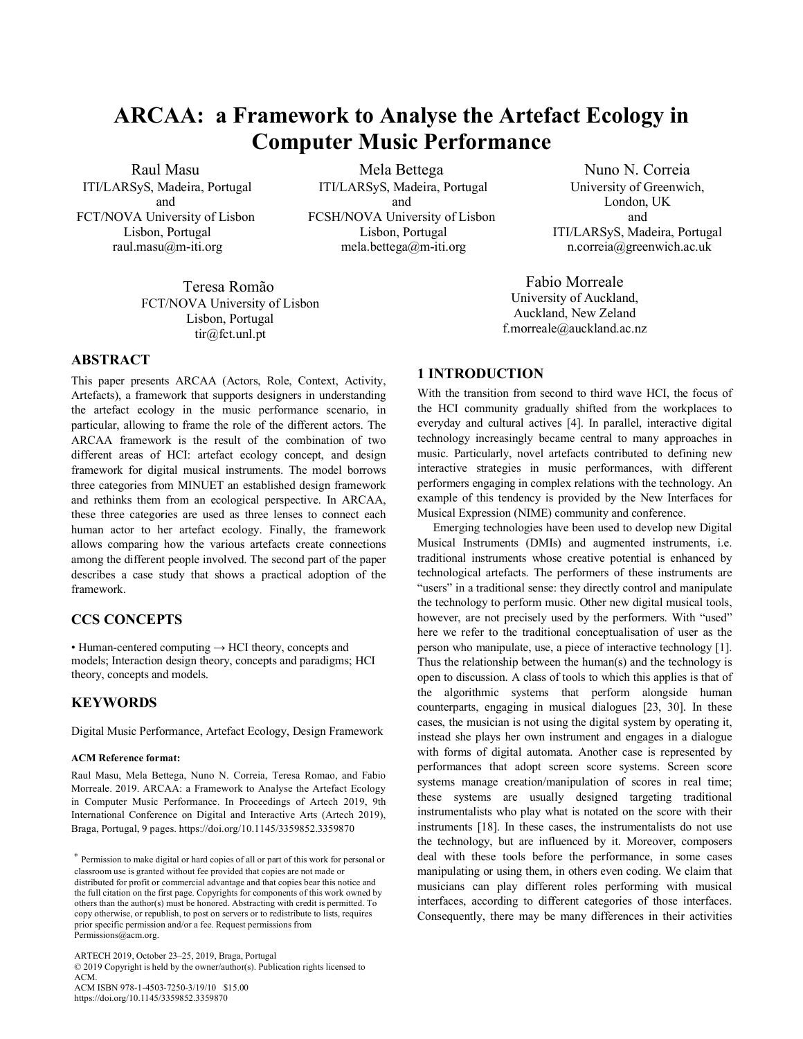# **ARCAA: a Framework to Analyse the Artefact Ecology in Computer Music Performance**

Raul Masu ITI/LARSyS, Madeira, Portugal and FCT/NOVA University of Lisbon Lisbon, Portugal raul.masu@m-iti.org

Mela Bettega ITI/LARSyS, Madeira, Portugal and FCSH/NOVA University of Lisbon Lisbon, Portugal mela.bettega@m-iti.org

Teresa Romão FCT/NOVA University of Lisbon Lisbon, Portugal tir@fct.unl.pt

## **ABSTRACT**

This paper presents ARCAA (Actors, Role, Context, Activity, Artefacts), a framework that supports designers in understanding the artefact ecology in the music performance scenario, in particular, allowing to frame the role of the different actors. The ARCAA framework is the result of the combination of two different areas of HCI: artefact ecology concept, and design framework for digital musical instruments. The model borrows three categories from MINUET an established design framework and rethinks them from an ecological perspective. In ARCAA, these three categories are used as three lenses to connect each human actor to her artefact ecology. Finally, the framework allows comparing how the various artefacts create connections among the different people involved. The second part of the paper describes a case study that shows a practical adoption of the framework.

## **CCS CONCEPTS**

• Human-centered computing  $\rightarrow$  HCI theory, concepts and models; Interaction design theory, concepts and paradigms; HCI theory, concepts and models.

## **KEYWORDS**

Digital Music Performance, Artefact Ecology, Design Framework

#### **ACM Reference format:**

Raul Masu, Mela Bettega, Nuno N. Correia, Teresa Romao, and Fabio Morreale. 2019. ARCAA: a Framework to Analyse the Artefact Ecology in Computer Music Performance. In Proceedings of Artech 2019, 9th International Conference on Digital and Interactive Arts (Artech 2019), Braga, Portugal, 9 pages. https://doi.org/10.1145/3359852.3359870

ARTECH 2019, October 23–25, 2019, Braga, Portugal © 2019 Copyright is held by the owner/author(s). Publication rights licensed to ACM. ACM ISBN 978-1-4503-7250-3/19/10 \$15.00 https://doi.org/10.1145/3359852.3359870

Nuno N. Correia University of Greenwich, London, UK and ITI/LARSyS, Madeira, Portugal n.correia@greenwich.ac.uk

Fabio Morreale University of Auckland, Auckland, New Zeland f.morreale@auckland.ac.nz

## **1 INTRODUCTION**

With the transition from second to third wave HCI, the focus of the HCI community gradually shifted from the workplaces to everyday and cultural actives [4]. In parallel, interactive digital technology increasingly became central to many approaches in music. Particularly, novel artefacts contributed to defining new interactive strategies in music performances, with different performers engaging in complex relations with the technology. An example of this tendency is provided by the New Interfaces for Musical Expression (NIME) community and conference.

Emerging technologies have been used to develop new Digital Musical Instruments (DMIs) and augmented instruments, i.e. traditional instruments whose creative potential is enhanced by technological artefacts. The performers of these instruments are "users" in a traditional sense: they directly control and manipulate the technology to perform music. Other new digital musical tools, however, are not precisely used by the performers. With "used" here we refer to the traditional conceptualisation of user as the person who manipulate, use, a piece of interactive technology [1]. Thus the relationship between the human(s) and the technology is open to discussion. A class of tools to which this applies is that of the algorithmic systems that perform alongside human counterparts, engaging in musical dialogues [23, 30]. In these cases, the musician is not using the digital system by operating it, instead she plays her own instrument and engages in a dialogue with forms of digital automata. Another case is represented by performances that adopt screen score systems. Screen score systems manage creation/manipulation of scores in real time; these systems are usually designed targeting traditional instrumentalists who play what is notated on the score with their instruments [18]. In these cases, the instrumentalists do not use the technology, but are influenced by it. Moreover, composers deal with these tools before the performance, in some cases manipulating or using them, in others even coding. We claim that musicians can play different roles performing with musical interfaces, according to different categories of those interfaces. Consequently, there may be many differences in their activities

<sup>∗</sup> Permission to make digital or hard copies of all or part of this work for personal or classroom use is granted without fee provided that copies are not made or distributed for profit or commercial advantage and that copies bear this notice and the full citation on the first page. Copyrights for components of this work owned by others than the author(s) must be honored. Abstracting with credit is permitted. To copy otherwise, or republish, to post on servers or to redistribute to lists, requires prior specific permission and/or a fee. Request permissions from Permissions@acm.org.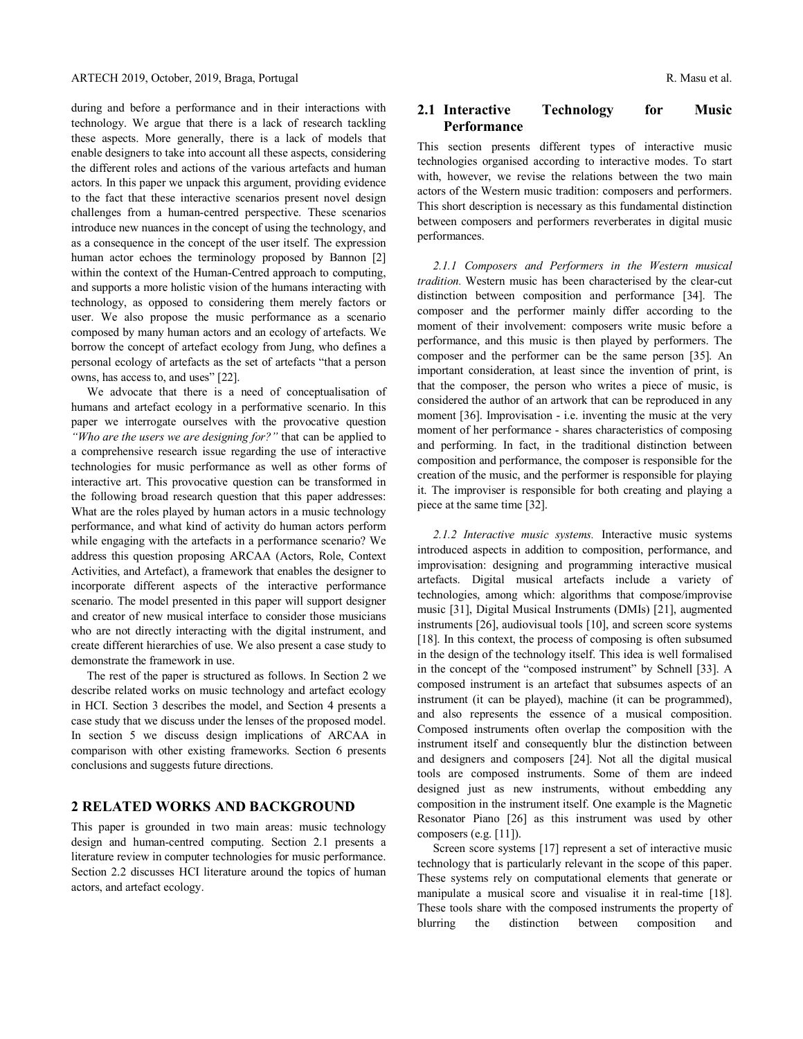during and before a performance and in their interactions with technology. We argue that there is a lack of research tackling these aspects. More generally, there is a lack of models that enable designers to take into account all these aspects, considering the different roles and actions of the various artefacts and human actors. In this paper we unpack this argument, providing evidence to the fact that these interactive scenarios present novel design challenges from a human-centred perspective. These scenarios introduce new nuances in the concept of using the technology, and as a consequence in the concept of the user itself. The expression human actor echoes the terminology proposed by Bannon [2] within the context of the Human-Centred approach to computing, and supports a more holistic vision of the humans interacting with technology, as opposed to considering them merely factors or user. We also propose the music performance as a scenario composed by many human actors and an ecology of artefacts. We borrow the concept of artefact ecology from Jung, who defines a personal ecology of artefacts as the set of artefacts "that a person owns, has access to, and uses" [22].

We advocate that there is a need of conceptualisation of humans and artefact ecology in a performative scenario. In this paper we interrogate ourselves with the provocative question *"Who are the users we are designing for?"* that can be applied to a comprehensive research issue regarding the use of interactive technologies for music performance as well as other forms of interactive art. This provocative question can be transformed in the following broad research question that this paper addresses: What are the roles played by human actors in a music technology performance, and what kind of activity do human actors perform while engaging with the artefacts in a performance scenario? We address this question proposing ARCAA (Actors, Role, Context Activities, and Artefact), a framework that enables the designer to incorporate different aspects of the interactive performance scenario. The model presented in this paper will support designer and creator of new musical interface to consider those musicians who are not directly interacting with the digital instrument, and create different hierarchies of use. We also present a case study to demonstrate the framework in use.

The rest of the paper is structured as follows. In Section 2 we describe related works on music technology and artefact ecology in HCI. Section 3 describes the model, and Section 4 presents a case study that we discuss under the lenses of the proposed model. In section 5 we discuss design implications of ARCAA in comparison with other existing frameworks. Section 6 presents conclusions and suggests future directions.

## **2 RELATED WORKS AND BACKGROUND**

This paper is grounded in two main areas: music technology design and human-centred computing. Section 2.1 presents a literature review in computer technologies for music performance. Section 2.2 discusses HCI literature around the topics of human actors, and artefact ecology.

# **2.1 Interactive Technology for Music Performance**

This section presents different types of interactive music technologies organised according to interactive modes. To start with, however, we revise the relations between the two main actors of the Western music tradition: composers and performers. This short description is necessary as this fundamental distinction between composers and performers reverberates in digital music performances.

*2.1.1 Composers and Performers in the Western musical tradition.* Western music has been characterised by the clear-cut distinction between composition and performance [34]. The composer and the performer mainly differ according to the moment of their involvement: composers write music before a performance, and this music is then played by performers. The composer and the performer can be the same person [35]. An important consideration, at least since the invention of print, is that the composer, the person who writes a piece of music, is considered the author of an artwork that can be reproduced in any moment [36]. Improvisation - i.e. inventing the music at the very moment of her performance - shares characteristics of composing and performing. In fact, in the traditional distinction between composition and performance, the composer is responsible for the creation of the music, and the performer is responsible for playing it. The improviser is responsible for both creating and playing a piece at the same time [32].

*2.1.2 Interactive music systems.* Interactive music systems introduced aspects in addition to composition, performance, and improvisation: designing and programming interactive musical artefacts. Digital musical artefacts include a variety of technologies, among which: algorithms that compose/improvise music [31], Digital Musical Instruments (DMIs) [21], augmented instruments [26], audiovisual tools [10], and screen score systems [18]. In this context, the process of composing is often subsumed in the design of the technology itself. This idea is well formalised in the concept of the "composed instrument" by Schnell [33]. A composed instrument is an artefact that subsumes aspects of an instrument (it can be played), machine (it can be programmed), and also represents the essence of a musical composition. Composed instruments often overlap the composition with the instrument itself and consequently blur the distinction between and designers and composers [24]. Not all the digital musical tools are composed instruments. Some of them are indeed designed just as new instruments, without embedding any composition in the instrument itself. One example is the Magnetic Resonator Piano [26] as this instrument was used by other composers (e.g. [11]).

Screen score systems [17] represent a set of interactive music technology that is particularly relevant in the scope of this paper. These systems rely on computational elements that generate or manipulate a musical score and visualise it in real-time [18]. These tools share with the composed instruments the property of blurring the distinction between composition and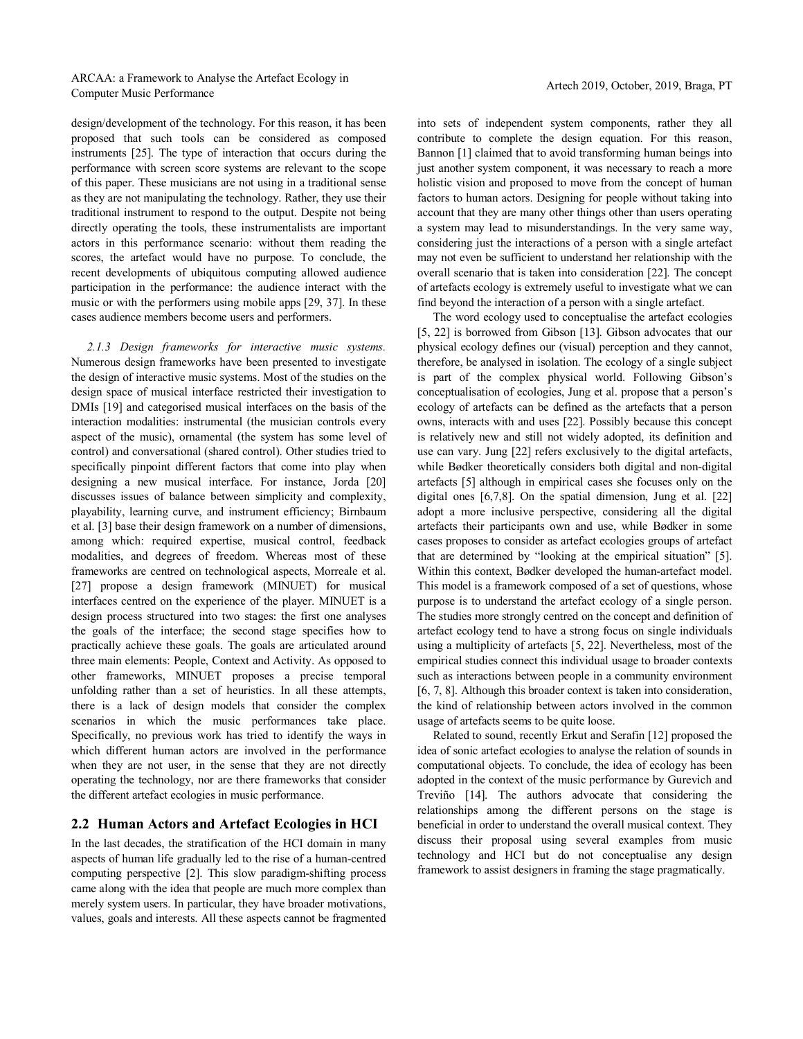#### ARCAA: a Framework to Analyse the Artefact Ecology in ARCAA. a Francwork to Analyse the Arteract Ecology in<br>Computer Music Performance

design/development of the technology. For this reason, it has been proposed that such tools can be considered as composed instruments [25]. The type of interaction that occurs during the performance with screen score systems are relevant to the scope of this paper. These musicians are not using in a traditional sense as they are not manipulating the technology. Rather, they use their traditional instrument to respond to the output. Despite not being directly operating the tools, these instrumentalists are important actors in this performance scenario: without them reading the scores, the artefact would have no purpose. To conclude, the recent developments of ubiquitous computing allowed audience participation in the performance: the audience interact with the music or with the performers using mobile apps [29, 37]. In these cases audience members become users and performers.

*2.1.3 Design frameworks for interactive music systems.* Numerous design frameworks have been presented to investigate the design of interactive music systems. Most of the studies on the design space of musical interface restricted their investigation to DMIs [19] and categorised musical interfaces on the basis of the interaction modalities: instrumental (the musician controls every aspect of the music), ornamental (the system has some level of control) and conversational (shared control). Other studies tried to specifically pinpoint different factors that come into play when designing a new musical interface. For instance, Jorda [20] discusses issues of balance between simplicity and complexity, playability, learning curve, and instrument efficiency; Birnbaum et al. [3] base their design framework on a number of dimensions, among which: required expertise, musical control, feedback modalities, and degrees of freedom. Whereas most of these frameworks are centred on technological aspects, Morreale et al. [27] propose a design framework (MINUET) for musical interfaces centred on the experience of the player. MINUET is a design process structured into two stages: the first one analyses the goals of the interface; the second stage specifies how to practically achieve these goals. The goals are articulated around three main elements: People, Context and Activity. As opposed to other frameworks, MINUET proposes a precise temporal unfolding rather than a set of heuristics. In all these attempts, there is a lack of design models that consider the complex scenarios in which the music performances take place. Specifically, no previous work has tried to identify the ways in which different human actors are involved in the performance when they are not user, in the sense that they are not directly operating the technology, nor are there frameworks that consider the different artefact ecologies in music performance.

# **2.2 Human Actors and Artefact Ecologies in HCI**

In the last decades, the stratification of the HCI domain in many aspects of human life gradually led to the rise of a human-centred computing perspective [2]. This slow paradigm-shifting process came along with the idea that people are much more complex than merely system users. In particular, they have broader motivations, values, goals and interests. All these aspects cannot be fragmented

into sets of independent system components, rather they all contribute to complete the design equation. For this reason, Bannon [1] claimed that to avoid transforming human beings into just another system component, it was necessary to reach a more holistic vision and proposed to move from the concept of human factors to human actors. Designing for people without taking into account that they are many other things other than users operating a system may lead to misunderstandings. In the very same way, considering just the interactions of a person with a single artefact may not even be sufficient to understand her relationship with the overall scenario that is taken into consideration [22]. The concept of artefacts ecology is extremely useful to investigate what we can find beyond the interaction of a person with a single artefact.

The word ecology used to conceptualise the artefact ecologies [5, 22] is borrowed from Gibson [13]. Gibson advocates that our physical ecology defines our (visual) perception and they cannot, therefore, be analysed in isolation. The ecology of a single subject is part of the complex physical world. Following Gibson's conceptualisation of ecologies, Jung et al. propose that a person's ecology of artefacts can be defined as the artefacts that a person owns, interacts with and uses [22]. Possibly because this concept is relatively new and still not widely adopted, its definition and use can vary. Jung [22] refers exclusively to the digital artefacts, while Bødker theoretically considers both digital and non-digital artefacts [5] although in empirical cases she focuses only on the digital ones [6,7,8]. On the spatial dimension, Jung et al. [22] adopt a more inclusive perspective, considering all the digital artefacts their participants own and use, while Bødker in some cases proposes to consider as artefact ecologies groups of artefact that are determined by "looking at the empirical situation" [5]. Within this context, Bødker developed the human-artefact model. This model is a framework composed of a set of questions, whose purpose is to understand the artefact ecology of a single person. The studies more strongly centred on the concept and definition of artefact ecology tend to have a strong focus on single individuals using a multiplicity of artefacts [5, 22]. Nevertheless, most of the empirical studies connect this individual usage to broader contexts such as interactions between people in a community environment [6, 7, 8]. Although this broader context is taken into consideration, the kind of relationship between actors involved in the common usage of artefacts seems to be quite loose.

Related to sound, recently Erkut and Serafin [12] proposed the idea of sonic artefact ecologies to analyse the relation of sounds in computational objects. To conclude, the idea of ecology has been adopted in the context of the music performance by Gurevich and Treviño [14]. The authors advocate that considering the relationships among the different persons on the stage is beneficial in order to understand the overall musical context. They discuss their proposal using several examples from music technology and HCI but do not conceptualise any design framework to assist designers in framing the stage pragmatically.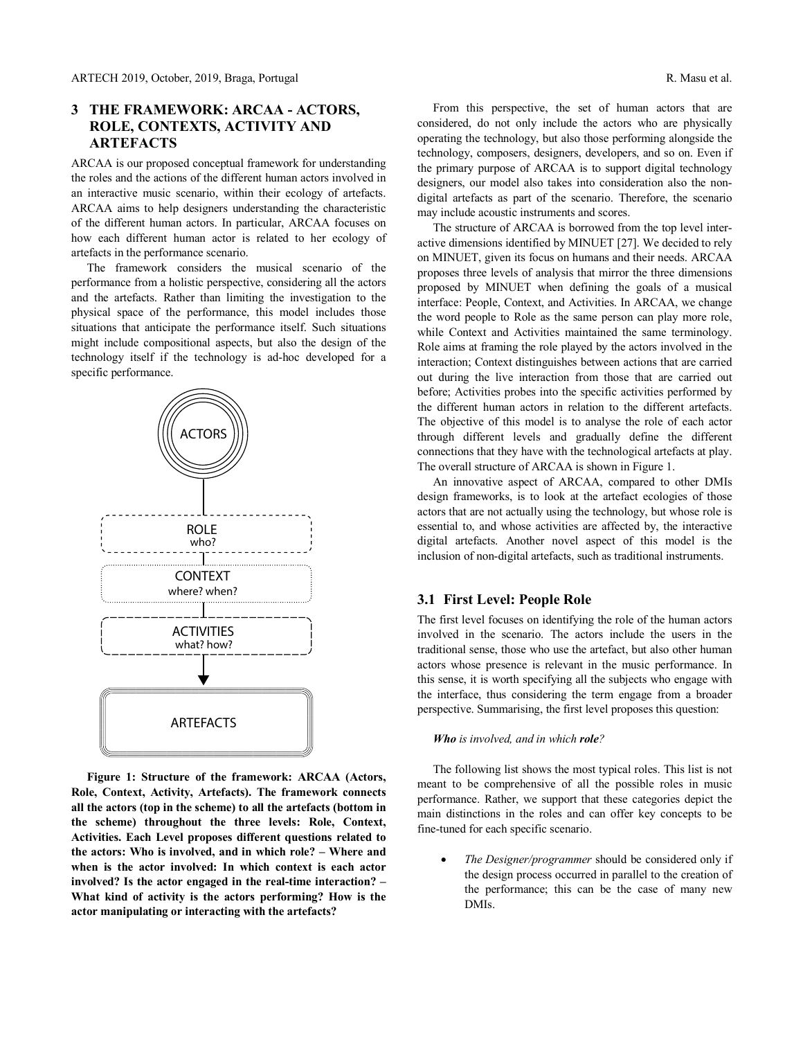# **3 THE FRAMEWORK: ARCAA - ACTORS, ROLE, CONTEXTS, ACTIVITY AND ARTEFACTS**

ARCAA is our proposed conceptual framework for understanding the roles and the actions of the different human actors involved in an interactive music scenario, within their ecology of artefacts. ARCAA aims to help designers understanding the characteristic of the different human actors. In particular, ARCAA focuses on how each different human actor is related to her ecology of artefacts in the performance scenario.

The framework considers the musical scenario of the performance from a holistic perspective, considering all the actors and the artefacts. Rather than limiting the investigation to the physical space of the performance, this model includes those situations that anticipate the performance itself. Such situations might include compositional aspects, but also the design of the technology itself if the technology is ad-hoc developed for a specific performance.



**Figure 1: Structure of the framework: ARCAA (Actors, Role, Context, Activity, Artefacts). The framework connects all the actors (top in the scheme) to all the artefacts (bottom in the scheme) throughout the three levels: Role, Context, Activities. Each Level proposes different questions related to the actors: Who is involved, and in which role? – Where and when is the actor involved: In which context is each actor involved? Is the actor engaged in the real-time interaction? – What kind of activity is the actors performing? How is the actor manipulating or interacting with the artefacts?**

From this perspective, the set of human actors that are considered, do not only include the actors who are physically operating the technology, but also those performing alongside the technology, composers, designers, developers, and so on. Even if the primary purpose of ARCAA is to support digital technology designers, our model also takes into consideration also the nondigital artefacts as part of the scenario. Therefore, the scenario may include acoustic instruments and scores.

The structure of ARCAA is borrowed from the top level interactive dimensions identified by MINUET [27]. We decided to rely on MINUET, given its focus on humans and their needs. ARCAA proposes three levels of analysis that mirror the three dimensions proposed by MINUET when defining the goals of a musical interface: People, Context, and Activities. In ARCAA, we change the word people to Role as the same person can play more role, while Context and Activities maintained the same terminology. Role aims at framing the role played by the actors involved in the interaction; Context distinguishes between actions that are carried out during the live interaction from those that are carried out before; Activities probes into the specific activities performed by the different human actors in relation to the different artefacts. The objective of this model is to analyse the role of each actor through different levels and gradually define the different connections that they have with the technological artefacts at play. The overall structure of ARCAA is shown in Figure 1.

An innovative aspect of ARCAA, compared to other DMIs design frameworks, is to look at the artefact ecologies of those actors that are not actually using the technology, but whose role is essential to, and whose activities are affected by, the interactive digital artefacts. Another novel aspect of this model is the inclusion of non-digital artefacts, such as traditional instruments.

## **3.1 First Level: People Role**

The first level focuses on identifying the role of the human actors involved in the scenario. The actors include the users in the traditional sense, those who use the artefact, but also other human actors whose presence is relevant in the music performance. In this sense, it is worth specifying all the subjects who engage with the interface, thus considering the term engage from a broader perspective. Summarising, the first level proposes this question:

#### *Who is involved, and in which role?*

The following list shows the most typical roles. This list is not meant to be comprehensive of all the possible roles in music performance. Rather, we support that these categories depict the main distinctions in the roles and can offer key concepts to be fine-tuned for each specific scenario.

• *The Designer/programmer* should be considered only if the design process occurred in parallel to the creation of the performance; this can be the case of many new DMIs.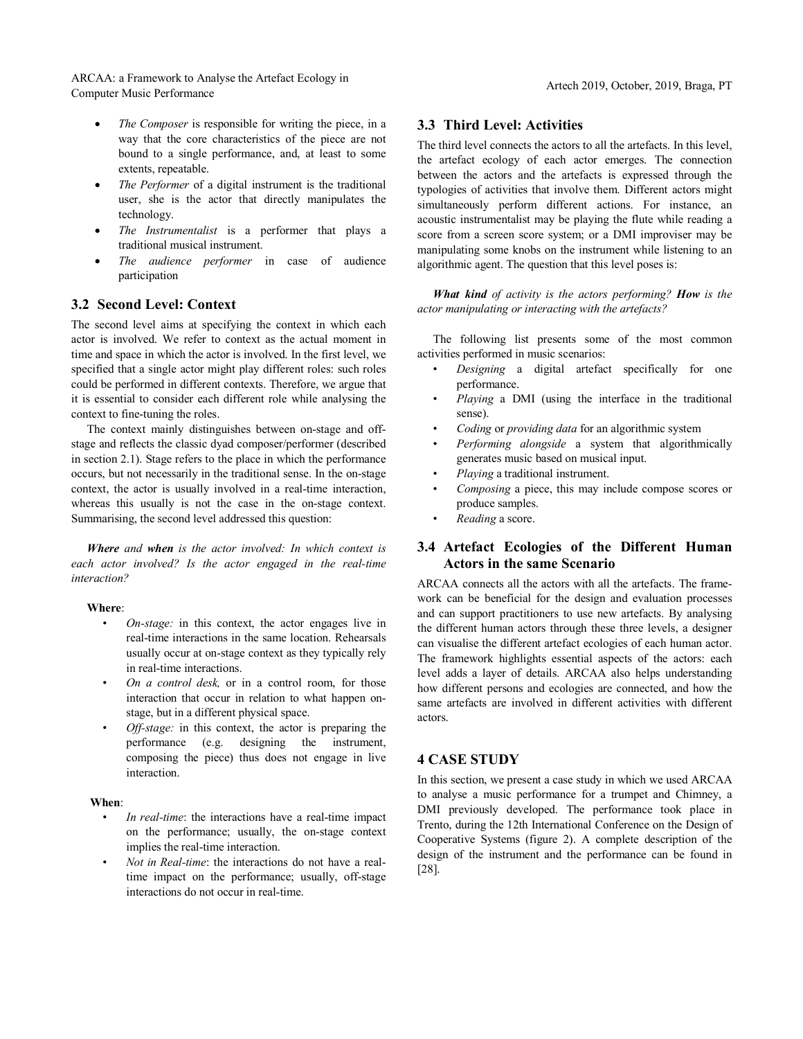ARCAA: a Framework to Analyse the Artefact Ecology in ARCAA. a Francwork to Analyse the Arteract Ecology in<br>Computer Music Performance

- The Composer is responsible for writing the piece, in a way that the core characteristics of the piece are not bound to a single performance, and, at least to some extents, repeatable.
- The Performer of a digital instrument is the traditional user, she is the actor that directly manipulates the technology.
- *The Instrumentalist* is a performer that plays a traditional musical instrument.
- *The audience performer* in case of audience participation

## **3.2 Second Level: Context**

The second level aims at specifying the context in which each actor is involved. We refer to context as the actual moment in time and space in which the actor is involved. In the first level, we specified that a single actor might play different roles: such roles could be performed in different contexts. Therefore, we argue that it is essential to consider each different role while analysing the context to fine-tuning the roles.

The context mainly distinguishes between on-stage and offstage and reflects the classic dyad composer/performer (described in section 2.1). Stage refers to the place in which the performance occurs, but not necessarily in the traditional sense. In the on-stage context, the actor is usually involved in a real-time interaction, whereas this usually is not the case in the on-stage context. Summarising, the second level addressed this question:

*Where and when is the actor involved: In which context is each actor involved? Is the actor engaged in the real-time interaction?*

#### **Where**:

- *On-stage:* in this context, the actor engages live in real-time interactions in the same location. Rehearsals usually occur at on-stage context as they typically rely in real-time interactions.
- *On a control desk,* or in a control room, for those interaction that occur in relation to what happen onstage, but in a different physical space.
- *Off-stage:* in this context, the actor is preparing the performance (e.g. designing the instrument, composing the piece) thus does not engage in live interaction.

#### **When**:

- In real-time: the interactions have a real-time impact on the performance; usually, the on-stage context implies the real-time interaction.
- *Not in Real-time*: the interactions do not have a realtime impact on the performance; usually, off-stage interactions do not occur in real-time.

#### **3.3 Third Level: Activities**

The third level connects the actors to all the artefacts. In this level, the artefact ecology of each actor emerges. The connection between the actors and the artefacts is expressed through the typologies of activities that involve them. Different actors might simultaneously perform different actions. For instance, an acoustic instrumentalist may be playing the flute while reading a score from a screen score system; or a DMI improviser may be manipulating some knobs on the instrument while listening to an algorithmic agent. The question that this level poses is:

*What kind of activity is the actors performing? How is the actor manipulating or interacting with the artefacts?*

The following list presents some of the most common activities performed in music scenarios:

- *Designing* a digital artefact specifically for one performance.
- *Playing* a DMI (using the interface in the traditional sense).
- *Coding* or *providing data* for an algorithmic system
- *Performing alongside* a system that algorithmically generates music based on musical input.
- *Playing* a traditional instrument.
- *Composing* a piece, this may include compose scores or produce samples.
- *Reading* a score.

## **3.4 Artefact Ecologies of the Different Human Actors in the same Scenario**

ARCAA connects all the actors with all the artefacts. The framework can be beneficial for the design and evaluation processes and can support practitioners to use new artefacts. By analysing the different human actors through these three levels, a designer can visualise the different artefact ecologies of each human actor. The framework highlights essential aspects of the actors: each level adds a layer of details. ARCAA also helps understanding how different persons and ecologies are connected, and how the same artefacts are involved in different activities with different actors.

# **4 CASE STUDY**

In this section, we present a case study in which we used ARCAA to analyse a music performance for a trumpet and Chimney, a DMI previously developed. The performance took place in Trento, during the 12th International Conference on the Design of Cooperative Systems (figure 2). A complete description of the design of the instrument and the performance can be found in [28].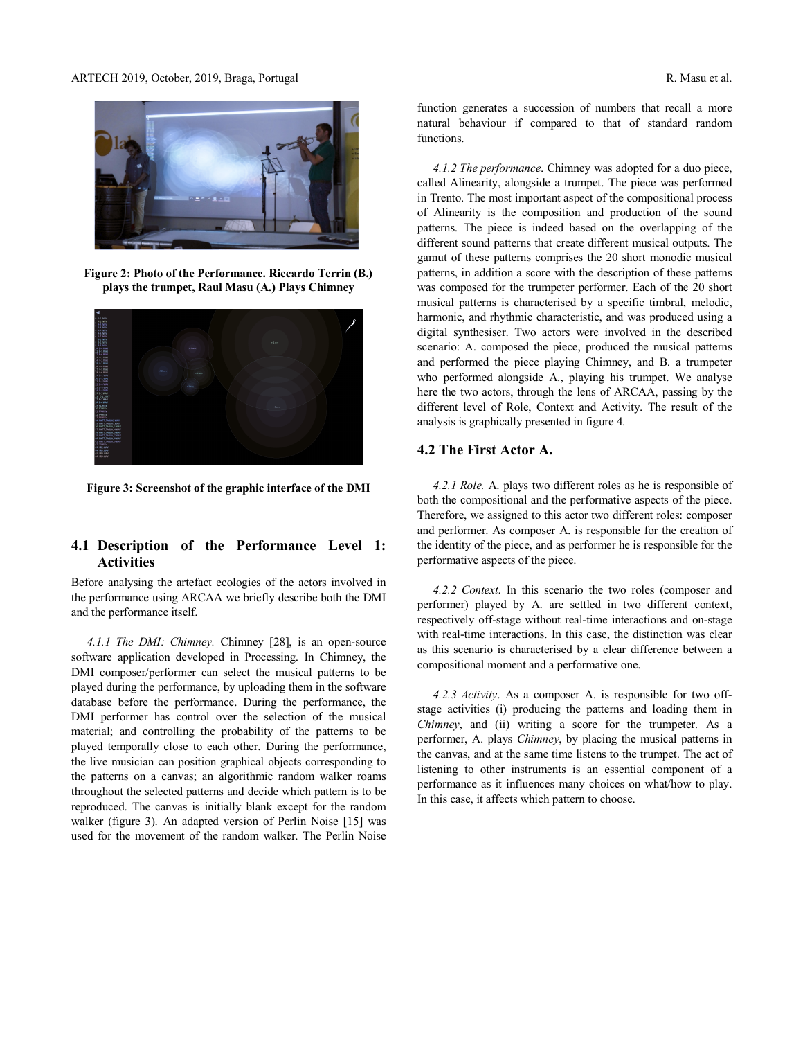#### ARTECH 2019, October, 2019, Braga, Portugal R. Masu et al.



**Figure 2: Photo of the Performance. Riccardo Terrin (B.) plays the trumpet, Raul Masu (A.) Plays Chimney**



**Figure 3: Screenshot of the graphic interface of the DMI**

# **4.1 Description of the Performance Level 1: Activities**

Before analysing the artefact ecologies of the actors involved in the performance using ARCAA we briefly describe both the DMI and the performance itself.

*4.1.1 The DMI: Chimney.* Chimney [28], is an open-source software application developed in Processing. In Chimney, the DMI composer/performer can select the musical patterns to be played during the performance, by uploading them in the software database before the performance. During the performance, the DMI performer has control over the selection of the musical material; and controlling the probability of the patterns to be played temporally close to each other. During the performance, the live musician can position graphical objects corresponding to the patterns on a canvas; an algorithmic random walker roams throughout the selected patterns and decide which pattern is to be reproduced. The canvas is initially blank except for the random walker (figure 3). An adapted version of Perlin Noise [15] was used for the movement of the random walker. The Perlin Noise

function generates a succession of numbers that recall a more natural behaviour if compared to that of standard random functions.

*4.1.2 The performance*. Chimney was adopted for a duo piece, called Alinearity, alongside a trumpet. The piece was performed in Trento. The most important aspect of the compositional process of Alinearity is the composition and production of the sound patterns. The piece is indeed based on the overlapping of the different sound patterns that create different musical outputs. The gamut of these patterns comprises the 20 short monodic musical patterns, in addition a score with the description of these patterns was composed for the trumpeter performer. Each of the 20 short musical patterns is characterised by a specific timbral, melodic, harmonic, and rhythmic characteristic, and was produced using a digital synthesiser. Two actors were involved in the described scenario: A. composed the piece, produced the musical patterns and performed the piece playing Chimney, and B. a trumpeter who performed alongside A., playing his trumpet. We analyse here the two actors, through the lens of ARCAA, passing by the different level of Role, Context and Activity. The result of the analysis is graphically presented in figure 4.

# **4.2 The First Actor A.**

*4.2.1 Role.* A. plays two different roles as he is responsible of both the compositional and the performative aspects of the piece. Therefore, we assigned to this actor two different roles: composer and performer. As composer A. is responsible for the creation of the identity of the piece, and as performer he is responsible for the performative aspects of the piece.

*4.2.2 Context*. In this scenario the two roles (composer and performer) played by A. are settled in two different context, respectively off-stage without real-time interactions and on-stage with real-time interactions. In this case, the distinction was clear as this scenario is characterised by a clear difference between a compositional moment and a performative one.

*4.2.3 Activity*. As a composer A. is responsible for two offstage activities (i) producing the patterns and loading them in *Chimney*, and (ii) writing a score for the trumpeter. As a performer, A. plays *Chimney*, by placing the musical patterns in the canvas, and at the same time listens to the trumpet. The act of listening to other instruments is an essential component of a performance as it influences many choices on what/how to play. In this case, it affects which pattern to choose.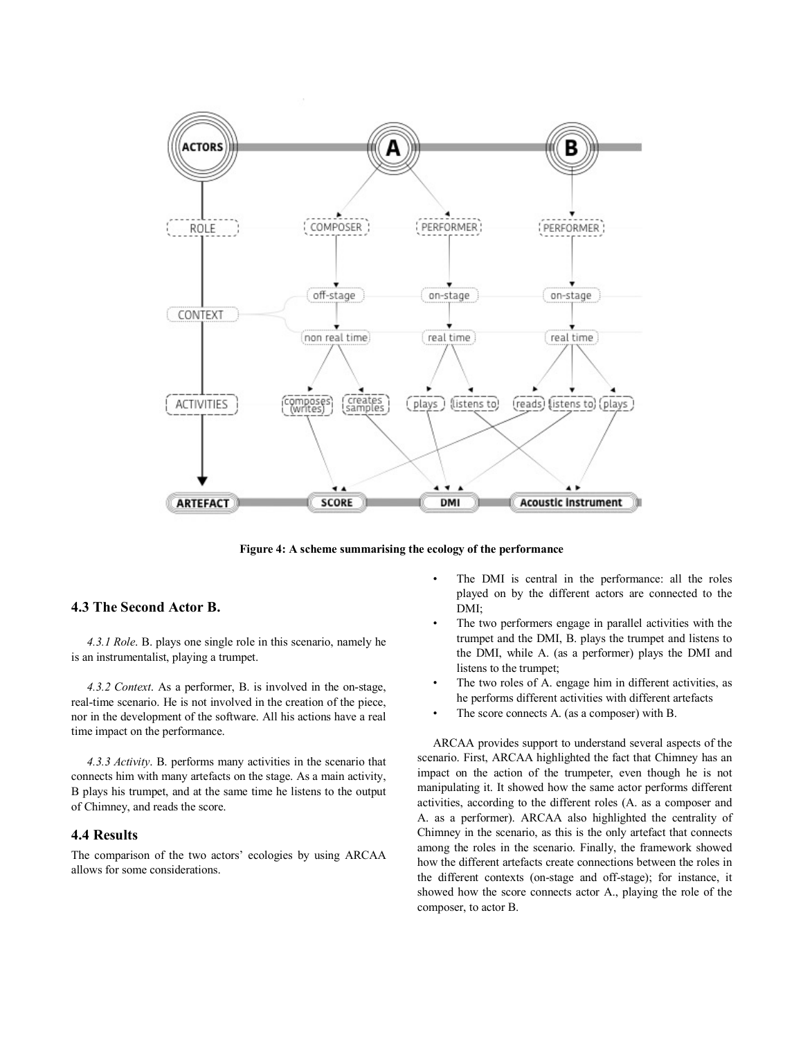

**Figure 4: A scheme summarising the ecology of the performance**

# **4.3 The Second Actor B.**

*4.3.1 Role*. B. plays one single role in this scenario, namely he is an instrumentalist, playing a trumpet.

*4.3.2 Context*. As a performer, B. is involved in the on-stage, real-time scenario. He is not involved in the creation of the piece, nor in the development of the software. All his actions have a real time impact on the performance.

*4.3.3 Activity*. B. performs many activities in the scenario that connects him with many artefacts on the stage. As a main activity, B plays his trumpet, and at the same time he listens to the output of Chimney, and reads the score.

## **4.4 Results**

The comparison of the two actors' ecologies by using ARCAA allows for some considerations.

- The DMI is central in the performance: all the roles played on by the different actors are connected to the DMI;
- The two performers engage in parallel activities with the trumpet and the DMI, B. plays the trumpet and listens to the DMI, while A. (as a performer) plays the DMI and listens to the trumpet;
- The two roles of A. engage him in different activities, as he performs different activities with different artefacts
- The score connects A. (as a composer) with B.

ARCAA provides support to understand several aspects of the scenario. First, ARCAA highlighted the fact that Chimney has an impact on the action of the trumpeter, even though he is not manipulating it. It showed how the same actor performs different activities, according to the different roles (A. as a composer and A. as a performer). ARCAA also highlighted the centrality of Chimney in the scenario, as this is the only artefact that connects among the roles in the scenario. Finally, the framework showed how the different artefacts create connections between the roles in the different contexts (on-stage and off-stage); for instance, it showed how the score connects actor A., playing the role of the composer, to actor B.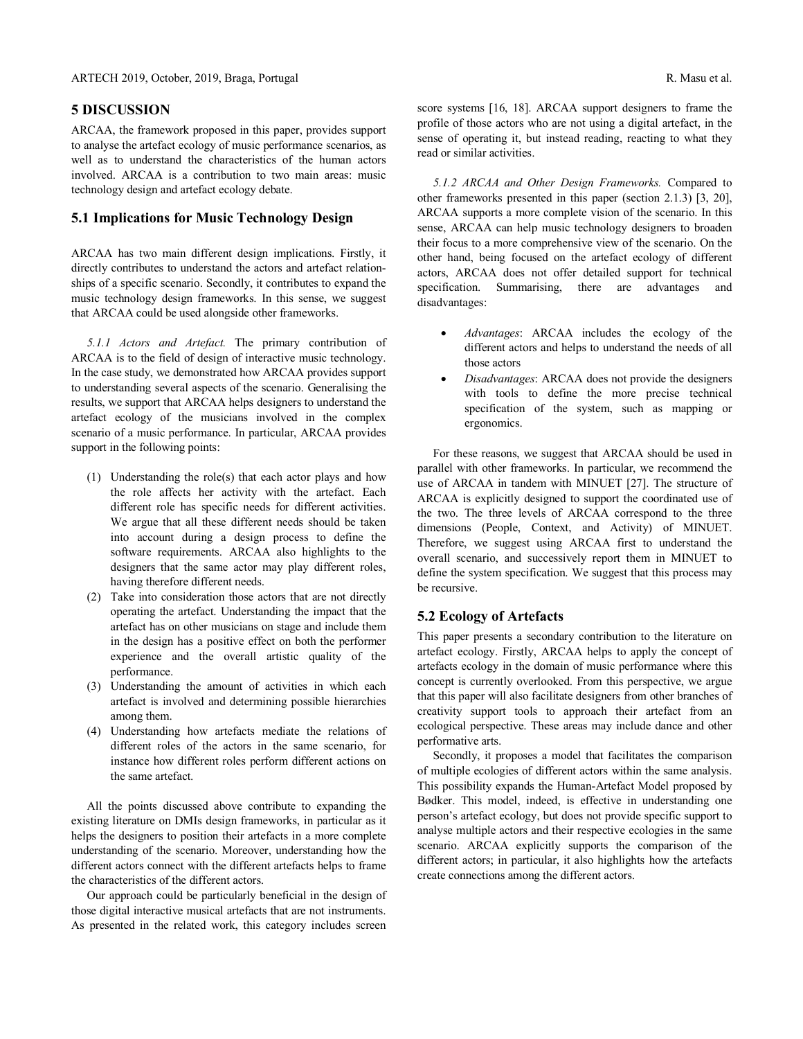#### **5 DISCUSSION**

ARCAA, the framework proposed in this paper, provides support to analyse the artefact ecology of music performance scenarios, as well as to understand the characteristics of the human actors involved. ARCAA is a contribution to two main areas: music technology design and artefact ecology debate.

## **5.1 Implications for Music Technology Design**

ARCAA has two main different design implications. Firstly, it directly contributes to understand the actors and artefact relationships of a specific scenario. Secondly, it contributes to expand the music technology design frameworks. In this sense, we suggest that ARCAA could be used alongside other frameworks.

*5.1.1 Actors and Artefact.* The primary contribution of ARCAA is to the field of design of interactive music technology. In the case study, we demonstrated how ARCAA provides support to understanding several aspects of the scenario. Generalising the results, we support that ARCAA helps designers to understand the artefact ecology of the musicians involved in the complex scenario of a music performance. In particular, ARCAA provides support in the following points:

- (1) Understanding the role(s) that each actor plays and how the role affects her activity with the artefact. Each different role has specific needs for different activities. We argue that all these different needs should be taken into account during a design process to define the software requirements. ARCAA also highlights to the designers that the same actor may play different roles, having therefore different needs.
- (2) Take into consideration those actors that are not directly operating the artefact. Understanding the impact that the artefact has on other musicians on stage and include them in the design has a positive effect on both the performer experience and the overall artistic quality of the performance.
- (3) Understanding the amount of activities in which each artefact is involved and determining possible hierarchies among them.
- (4) Understanding how artefacts mediate the relations of different roles of the actors in the same scenario, for instance how different roles perform different actions on the same artefact.

All the points discussed above contribute to expanding the existing literature on DMIs design frameworks, in particular as it helps the designers to position their artefacts in a more complete understanding of the scenario. Moreover, understanding how the different actors connect with the different artefacts helps to frame the characteristics of the different actors.

Our approach could be particularly beneficial in the design of those digital interactive musical artefacts that are not instruments. As presented in the related work, this category includes screen score systems [16, 18]. ARCAA support designers to frame the profile of those actors who are not using a digital artefact, in the sense of operating it, but instead reading, reacting to what they read or similar activities.

*5.1.2 ARCAA and Other Design Frameworks.* Compared to other frameworks presented in this paper (section 2.1.3) [3, 20], ARCAA supports a more complete vision of the scenario. In this sense, ARCAA can help music technology designers to broaden their focus to a more comprehensive view of the scenario. On the other hand, being focused on the artefact ecology of different actors, ARCAA does not offer detailed support for technical specification. Summarising, there are advantages and disadvantages:

- *Advantages*: ARCAA includes the ecology of the different actors and helps to understand the needs of all those actors
- *Disadvantages*: ARCAA does not provide the designers with tools to define the more precise technical specification of the system, such as mapping or ergonomics.

For these reasons, we suggest that ARCAA should be used in parallel with other frameworks. In particular, we recommend the use of ARCAA in tandem with MINUET [27]. The structure of ARCAA is explicitly designed to support the coordinated use of the two. The three levels of ARCAA correspond to the three dimensions (People, Context, and Activity) of MINUET. Therefore, we suggest using ARCAA first to understand the overall scenario, and successively report them in MINUET to define the system specification. We suggest that this process may be recursive.

#### **5.2 Ecology of Artefacts**

This paper presents a secondary contribution to the literature on artefact ecology. Firstly, ARCAA helps to apply the concept of artefacts ecology in the domain of music performance where this concept is currently overlooked. From this perspective, we argue that this paper will also facilitate designers from other branches of creativity support tools to approach their artefact from an ecological perspective. These areas may include dance and other performative arts.

Secondly, it proposes a model that facilitates the comparison of multiple ecologies of different actors within the same analysis. This possibility expands the Human-Artefact Model proposed by Bødker. This model, indeed, is effective in understanding one person's artefact ecology, but does not provide specific support to analyse multiple actors and their respective ecologies in the same scenario. ARCAA explicitly supports the comparison of the different actors; in particular, it also highlights how the artefacts create connections among the different actors.